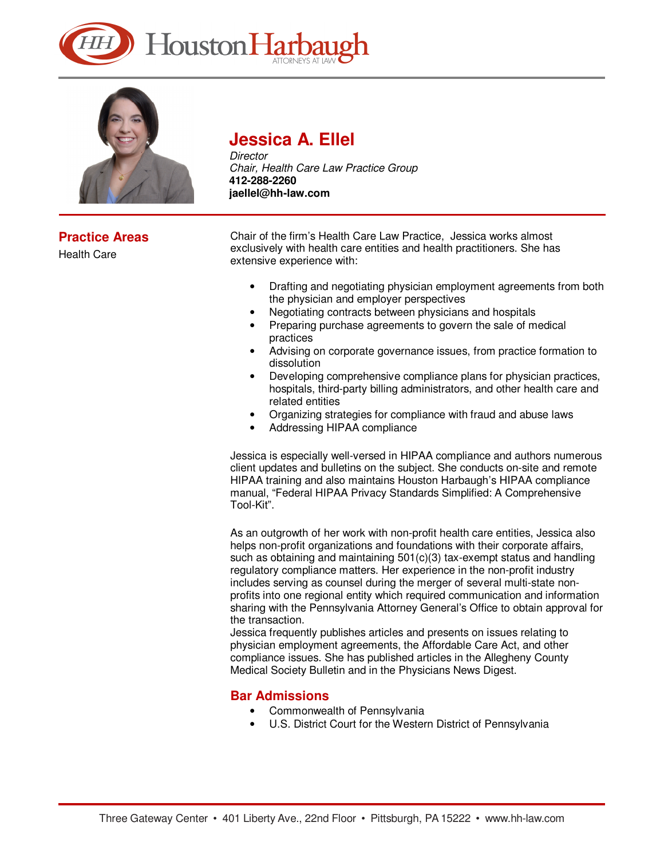



## **Practice Areas**

Health Care

# **Jessica A. Ellel**

**Director** Chair, Health Care Law Practice Group **412-288-2260 jaellel@hh-law.com** 

Chair of the firm's Health Care Law Practice, Jessica works almost exclusively with health care entities and health practitioners. She has extensive experience with:

- Drafting and negotiating physician employment agreements from both the physician and employer perspectives
- Negotiating contracts between physicians and hospitals
- Preparing purchase agreements to govern the sale of medical practices
- Advising on corporate governance issues, from practice formation to dissolution
- Developing comprehensive compliance plans for physician practices, hospitals, third-party billing administrators, and other health care and related entities
- Organizing strategies for compliance with fraud and abuse laws
- Addressing HIPAA compliance

Jessica is especially well-versed in HIPAA compliance and authors numerous client updates and bulletins on the subject. She conducts on-site and remote HIPAA training and also maintains Houston Harbaugh's HIPAA compliance manual, "Federal HIPAA Privacy Standards Simplified: A Comprehensive Tool-Kit".

As an outgrowth of her work with non-profit health care entities, Jessica also helps non-profit organizations and foundations with their corporate affairs, such as obtaining and maintaining 501(c)(3) tax-exempt status and handling regulatory compliance matters. Her experience in the non-profit industry includes serving as counsel during the merger of several multi-state nonprofits into one regional entity which required communication and information sharing with the Pennsylvania Attorney General's Office to obtain approval for the transaction.

Jessica frequently publishes articles and presents on issues relating to physician employment agreements, the Affordable Care Act, and other compliance issues. She has published articles in the Allegheny County Medical Society Bulletin and in the Physicians News Digest.

#### **Bar Admissions**

- Commonwealth of Pennsylvania
- U.S. District Court for the Western District of Pennsylvania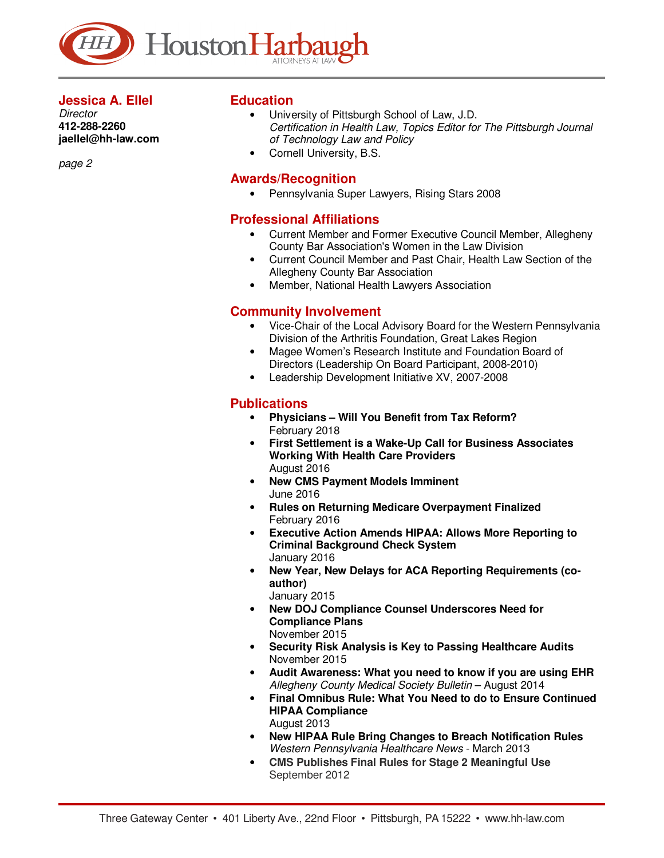

#### **Jessica A. Ellel**

**Director 412-288-2260 jaellel@hh-law.com** 

page 2

#### **Education**

- University of Pittsburgh School of Law, J.D. Certification in Health Law, Topics Editor for The Pittsburgh Journal of Technology Law and Policy
- Cornell University, B.S.

#### **Awards/Recognition**

• Pennsylvania Super Lawyers, Rising Stars 2008

### **Professional Affiliations**

- Current Member and Former Executive Council Member, Allegheny County Bar Association's Women in the Law Division
- Current Council Member and Past Chair, Health Law Section of the Allegheny County Bar Association
- Member, National Health Lawyers Association

## **Community Involvement**

- Vice-Chair of the Local Advisory Board for the Western Pennsylvania Division of the Arthritis Foundation, Great Lakes Region
- Magee Women's Research Institute and Foundation Board of Directors (Leadership On Board Participant, 2008-2010)
- Leadership Development Initiative XV, 2007-2008

## **Publications**

- **Physicians Will You Benefit from Tax Reform?** February 2018
- **First Settlement is a Wake-Up Call for Business Associates Working With Health Care Providers** August 2016
- **New CMS Payment Models Imminent** June 2016
- **Rules on Returning Medicare Overpayment Finalized** February 2016
- **Executive Action Amends HIPAA: Allows More Reporting to Criminal Background Check System** January 2016
- **New Year, New Delays for ACA Reporting Requirements (coauthor)** January 2015
- **New DOJ Compliance Counsel Underscores Need for Compliance Plans** November 2015
- **Security Risk Analysis is Key to Passing Healthcare Audits** November 2015
- **Audit Awareness: What you need to know if you are using EHR** Allegheny County Medical Society Bulletin – August 2014
- **Final Omnibus Rule: What You Need to do to Ensure Continued HIPAA Compliance** August 2013
- **New HIPAA Rule Bring Changes to Breach Notification Rules**  Western Pennsylvania Healthcare News - March 2013
- **CMS Publishes Final Rules for Stage 2 Meaningful Use** September 2012